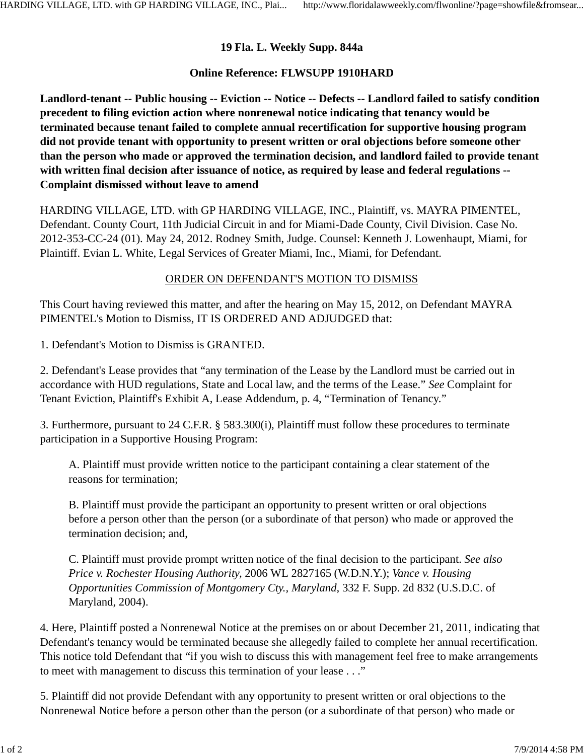## **19 Fla. L. Weekly Supp. 844a**

## **Online Reference: FLWSUPP 1910HARD**

**Landlord-tenant -- Public housing -- Eviction -- Notice -- Defects -- Landlord failed to satisfy condition precedent to filing eviction action where nonrenewal notice indicating that tenancy would be terminated because tenant failed to complete annual recertification for supportive housing program did not provide tenant with opportunity to present written or oral objections before someone other than the person who made or approved the termination decision, and landlord failed to provide tenant with written final decision after issuance of notice, as required by lease and federal regulations -- Complaint dismissed without leave to amend**

HARDING VILLAGE, LTD. with GP HARDING VILLAGE, INC., Plaintiff, vs. MAYRA PIMENTEL, Defendant. County Court, 11th Judicial Circuit in and for Miami-Dade County, Civil Division. Case No. 2012-353-CC-24 (01). May 24, 2012. Rodney Smith, Judge. Counsel: Kenneth J. Lowenhaupt, Miami, for Plaintiff. Evian L. White, Legal Services of Greater Miami, Inc., Miami, for Defendant.

## ORDER ON DEFENDANT'S MOTION TO DISMISS

This Court having reviewed this matter, and after the hearing on May 15, 2012, on Defendant MAYRA PIMENTEL's Motion to Dismiss, IT IS ORDERED AND ADJUDGED that:

1. Defendant's Motion to Dismiss is GRANTED.

2. Defendant's Lease provides that "any termination of the Lease by the Landlord must be carried out in accordance with HUD regulations, State and Local law, and the terms of the Lease." *See* Complaint for Tenant Eviction, Plaintiff's Exhibit A, Lease Addendum, p. 4, "Termination of Tenancy."

3. Furthermore, pursuant to 24 C.F.R. § 583.300(i), Plaintiff must follow these procedures to terminate participation in a Supportive Housing Program:

A. Plaintiff must provide written notice to the participant containing a clear statement of the reasons for termination;

B. Plaintiff must provide the participant an opportunity to present written or oral objections before a person other than the person (or a subordinate of that person) who made or approved the termination decision; and,

C. Plaintiff must provide prompt written notice of the final decision to the participant. *See also Price v. Rochester Housing Authority,* 2006 WL 2827165 (W.D.N.Y.); *Vance v. Housing Opportunities Commission of Montgomery Cty., Maryland,* 332 F. Supp. 2d 832 (U.S.D.C. of Maryland, 2004).

4. Here, Plaintiff posted a Nonrenewal Notice at the premises on or about December 21, 2011, indicating that Defendant's tenancy would be terminated because she allegedly failed to complete her annual recertification. This notice told Defendant that "if you wish to discuss this with management feel free to make arrangements to meet with management to discuss this termination of your lease . . ."

5. Plaintiff did not provide Defendant with any opportunity to present written or oral objections to the Nonrenewal Notice before a person other than the person (or a subordinate of that person) who made or